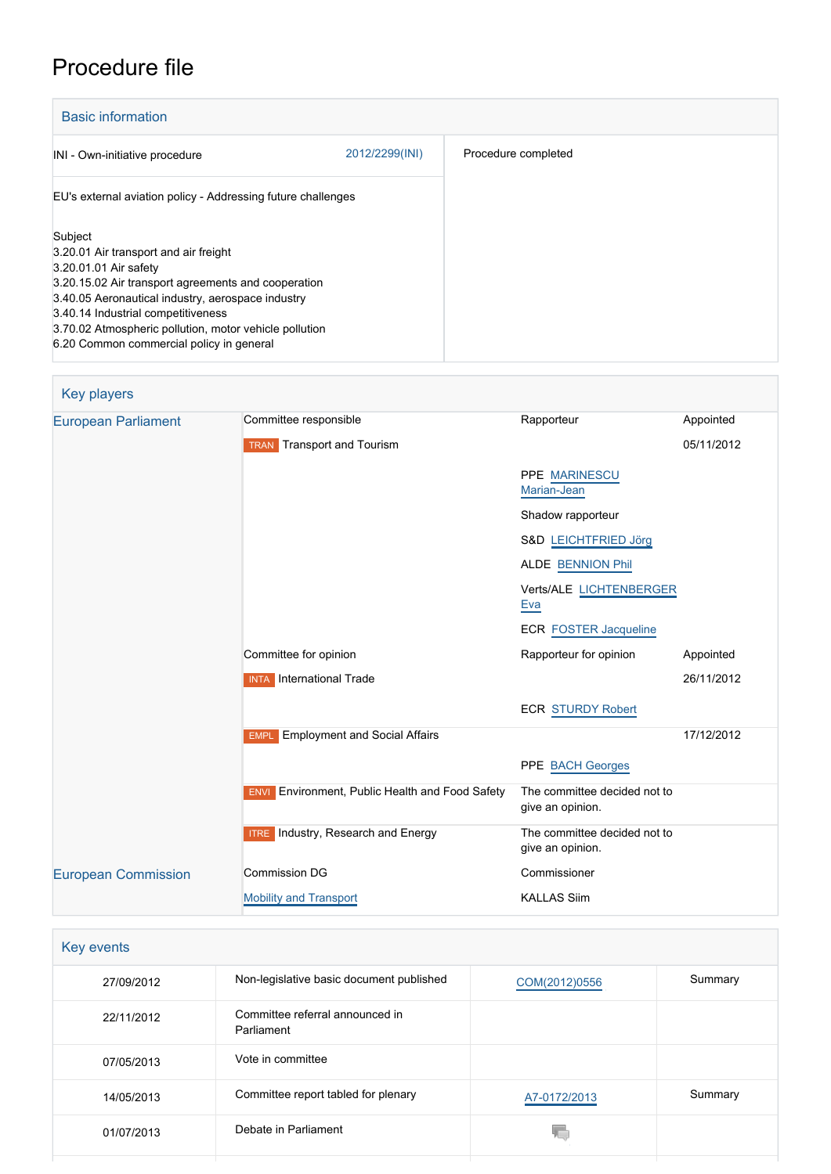# Procedure file

| <b>Basic information</b>                                                                                                                                                                                                                                                                                                          |                |                     |
|-----------------------------------------------------------------------------------------------------------------------------------------------------------------------------------------------------------------------------------------------------------------------------------------------------------------------------------|----------------|---------------------|
| INI - Own-initiative procedure                                                                                                                                                                                                                                                                                                    | 2012/2299(INI) | Procedure completed |
| EU's external aviation policy - Addressing future challenges                                                                                                                                                                                                                                                                      |                |                     |
| Subject<br>3.20.01 Air transport and air freight<br>3.20.01.01 Air safety<br>3.20.15.02 Air transport agreements and cooperation<br>3.40.05 Aeronautical industry, aerospace industry<br>3.40.14 Industrial competitiveness<br>3.70.02 Atmospheric pollution, motor vehicle pollution<br>6.20 Common commercial policy in general |                |                     |

| <b>Key players</b>         |                                                        |                                                  |            |
|----------------------------|--------------------------------------------------------|--------------------------------------------------|------------|
| <b>European Parliament</b> | Committee responsible                                  | Rapporteur                                       | Appointed  |
|                            | <b>TRAN</b> Transport and Tourism                      |                                                  | 05/11/2012 |
|                            |                                                        | PPE MARINESCU<br>Marian-Jean                     |            |
|                            |                                                        | Shadow rapporteur                                |            |
|                            |                                                        | S&D LEICHTFRIED Jörg                             |            |
|                            |                                                        | <b>ALDE BENNION Phil</b>                         |            |
|                            |                                                        | Verts/ALE LICHTENBERGER<br>Eva                   |            |
|                            |                                                        | <b>ECR FOSTER Jacqueline</b>                     |            |
|                            | Committee for opinion                                  | Rapporteur for opinion                           | Appointed  |
|                            | <b>INTA</b> International Trade                        |                                                  | 26/11/2012 |
|                            |                                                        | <b>ECR STURDY Robert</b>                         |            |
|                            | <b>Employment and Social Affairs</b><br><b>EMPL</b>    |                                                  | 17/12/2012 |
|                            |                                                        | PPE BACH Georges                                 |            |
|                            | <b>ENVI</b> Environment, Public Health and Food Safety | The committee decided not to<br>give an opinion. |            |
|                            | <b>ITRE</b> Industry, Research and Energy              | The committee decided not to<br>give an opinion. |            |
| <b>European Commission</b> | <b>Commission DG</b>                                   | Commissioner                                     |            |
|                            | <b>Mobility and Transport</b>                          | <b>KALLAS Siim</b>                               |            |

| Key events |                                               |               |         |
|------------|-----------------------------------------------|---------------|---------|
| 27/09/2012 | Non-legislative basic document published      | COM(2012)0556 | Summary |
| 22/11/2012 | Committee referral announced in<br>Parliament |               |         |
| 07/05/2013 | Vote in committee                             |               |         |
| 14/05/2013 | Committee report tabled for plenary           | A7-0172/2013  | Summary |
| 01/07/2013 | Debate in Parliament                          |               |         |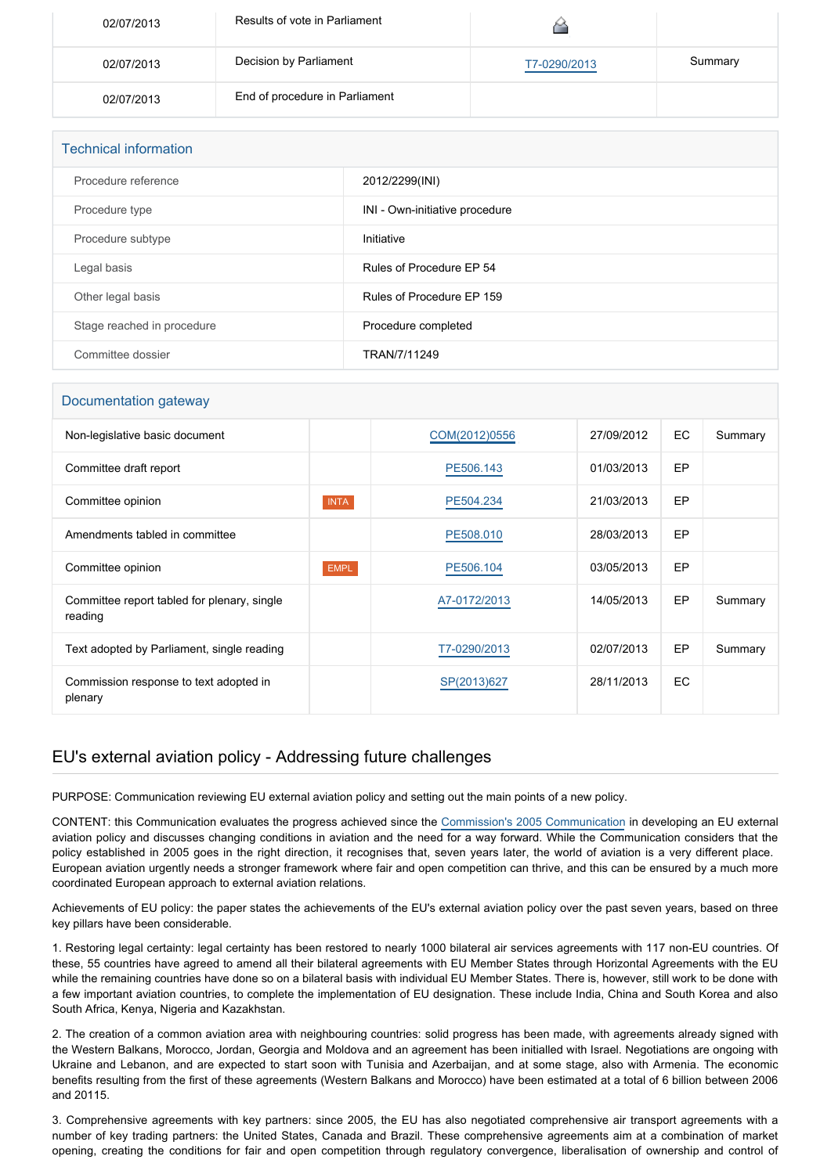| 02/07/2013 | Results of vote in Parliament  |              |         |
|------------|--------------------------------|--------------|---------|
| 02/07/2013 | Decision by Parliament         | T7-0290/2013 | Summary |
| 02/07/2013 | End of procedure in Parliament |              |         |

| <b>Technical information</b> |                                |  |  |
|------------------------------|--------------------------------|--|--|
| Procedure reference          | 2012/2299(INI)                 |  |  |
| Procedure type               | INI - Own-initiative procedure |  |  |
| Procedure subtype            | Initiative                     |  |  |
| Legal basis                  | Rules of Procedure EP 54       |  |  |
| Other legal basis            | Rules of Procedure EP 159      |  |  |
| Stage reached in procedure   | Procedure completed            |  |  |
| Committee dossier            | TRAN/7/11249                   |  |  |

#### Documentation gateway

| Non-legislative basic document                         |             | COM(2012)0556 | 27/09/2012 | EC        | Summary |
|--------------------------------------------------------|-------------|---------------|------------|-----------|---------|
| Committee draft report                                 |             | PE506.143     | 01/03/2013 | EP        |         |
| Committee opinion                                      | <b>INTA</b> | PE504.234     | 21/03/2013 | <b>EP</b> |         |
| Amendments tabled in committee                         |             | PE508.010     | 28/03/2013 | EP        |         |
| Committee opinion                                      | <b>EMPL</b> | PE506.104     | 03/05/2013 | EP        |         |
| Committee report tabled for plenary, single<br>reading |             | A7-0172/2013  | 14/05/2013 | <b>EP</b> | Summary |
| Text adopted by Parliament, single reading             |             | T7-0290/2013  | 02/07/2013 | EP        | Summary |
| Commission response to text adopted in<br>plenary      |             | SP(2013)627   | 28/11/2013 | EC        |         |

### EU's external aviation policy - Addressing future challenges

PURPOSE: Communication reviewing EU external aviation policy and setting out the main points of a new policy.

CONTENT: this Communication evaluates the progress achieved since the [Commission's 2005 Communication](http://www.eur-lex.europa.eu/LexUriServ/LexUriServ.do?uri=COM:2005:0079:FIN:EN:PDF) in developing an EU external aviation policy and discusses changing conditions in aviation and the need for a way forward. While the Communication considers that the policy established in 2005 goes in the right direction, it recognises that, seven years later, the world of aviation is a very different place. European aviation urgently needs a stronger framework where fair and open competition can thrive, and this can be ensured by a much more coordinated European approach to external aviation relations.

Achievements of EU policy: the paper states the achievements of the EU's external aviation policy over the past seven years, based on three key pillars have been considerable.

1. Restoring legal certainty: legal certainty has been restored to nearly 1000 bilateral air services agreements with 117 non-EU countries. Of these, 55 countries have agreed to amend all their bilateral agreements with EU Member States through Horizontal Agreements with the EU while the remaining countries have done so on a bilateral basis with individual EU Member States. There is, however, still work to be done with a few important aviation countries, to complete the implementation of EU designation. These include India, China and South Korea and also South Africa, Kenya, Nigeria and Kazakhstan.

2. The creation of a common aviation area with neighbouring countries: solid progress has been made, with agreements already signed with the Western Balkans, Morocco, Jordan, Georgia and Moldova and an agreement has been initialled with Israel. Negotiations are ongoing with Ukraine and Lebanon, and are expected to start soon with Tunisia and Azerbaijan, and at some stage, also with Armenia. The economic benefits resulting from the first of these agreements (Western Balkans and Morocco) have been estimated at a total of 6 billion between 2006 and 20115.

3. Comprehensive agreements with key partners: since 2005, the EU has also negotiated comprehensive air transport agreements with a number of key trading partners: the United States, Canada and Brazil. These comprehensive agreements aim at a combination of market opening, creating the conditions for fair and open competition through regulatory convergence, liberalisation of ownership and control of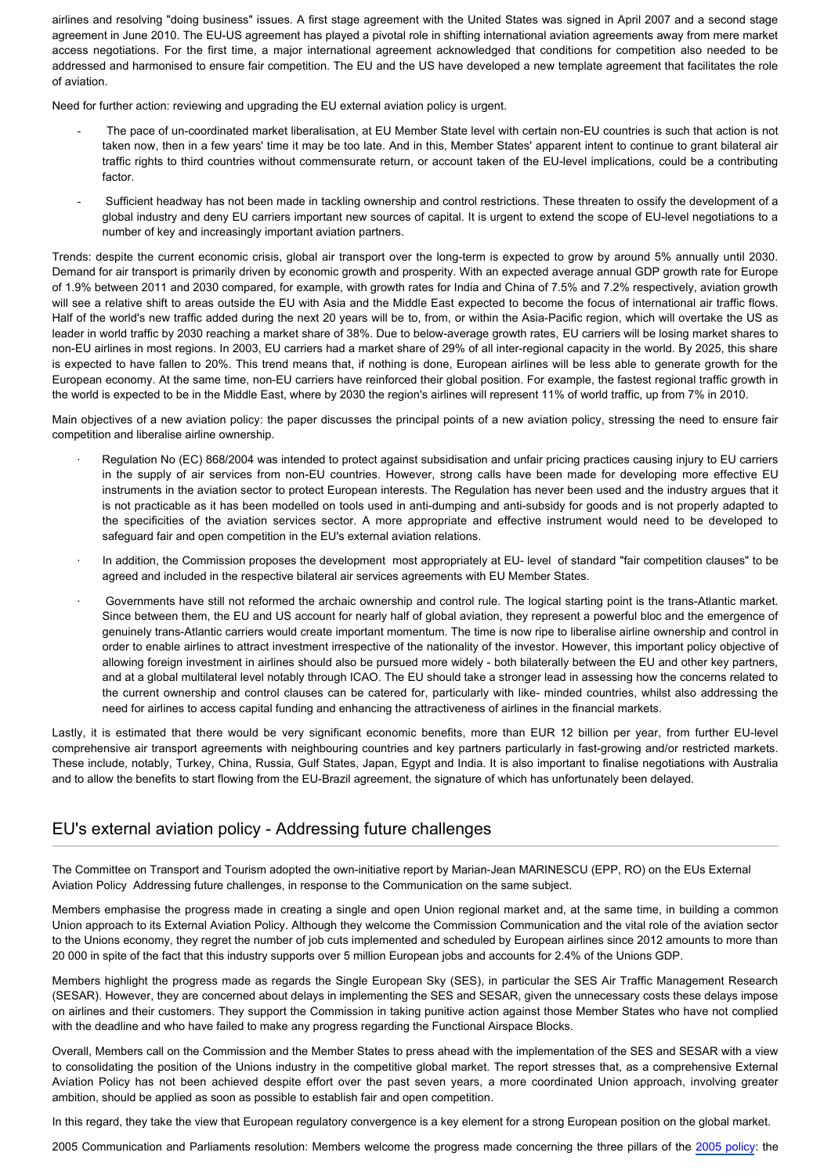airlines and resolving "doing business" issues. A first stage agreement with the United States was signed in April 2007 and a second stage agreement in June 2010. The EU-US agreement has played a pivotal role in shifting international aviation agreements away from mere market access negotiations. For the first time, a major international agreement acknowledged that conditions for competition also needed to be addressed and harmonised to ensure fair competition. The EU and the US have developed a new template agreement that facilitates the role of aviation.

Need for further action: reviewing and upgrading the EU external aviation policy is urgent.

- The pace of un-coordinated market liberalisation, at EU Member State level with certain non-EU countries is such that action is not taken now, then in a few years' time it may be too late. And in this, Member States' apparent intent to continue to grant bilateral air traffic rights to third countries without commensurate return, or account taken of the EU-level implications, could be a contributing factor.
- Sufficient headway has not been made in tackling ownership and control restrictions. These threaten to ossify the development of a global industry and deny EU carriers important new sources of capital. It is urgent to extend the scope of EU-level negotiations to a number of key and increasingly important aviation partners.

Trends: despite the current economic crisis, global air transport over the long-term is expected to grow by around 5% annually until 2030. Demand for air transport is primarily driven by economic growth and prosperity. With an expected average annual GDP growth rate for Europe of 1.9% between 2011 and 2030 compared, for example, with growth rates for India and China of 7.5% and 7.2% respectively, aviation growth will see a relative shift to areas outside the EU with Asia and the Middle East expected to become the focus of international air traffic flows. Half of the world's new traffic added during the next 20 years will be to, from, or within the Asia-Pacific region, which will overtake the US as leader in world traffic by 2030 reaching a market share of 38%. Due to below-average growth rates, EU carriers will be losing market shares to non-EU airlines in most regions. In 2003, EU carriers had a market share of 29% of all inter-regional capacity in the world. By 2025, this share is expected to have fallen to 20%. This trend means that, if nothing is done, European airlines will be less able to generate growth for the European economy. At the same time, non-EU carriers have reinforced their global position. For example, the fastest regional traffic growth in the world is expected to be in the Middle East, where by 2030 the region's airlines will represent 11% of world traffic, up from 7% in 2010.

Main objectives of a new aviation policy: the paper discusses the principal points of a new aviation policy, stressing the need to ensure fair competition and liberalise airline ownership.

- · Regulation No (EC) 868/2004 was intended to protect against subsidisation and unfair pricing practices causing injury to EU carriers in the supply of air services from non-EU countries. However, strong calls have been made for developing more effective EU instruments in the aviation sector to protect European interests. The Regulation has never been used and the industry argues that it is not practicable as it has been modelled on tools used in anti-dumping and anti-subsidy for goods and is not properly adapted to the specificities of the aviation services sector. A more appropriate and effective instrument would need to be developed to safeguard fair and open competition in the EU's external aviation relations.
- · In addition, the Commission proposes the development most appropriately at EU- level of standard "fair competition clauses" to be agreed and included in the respective bilateral air services agreements with EU Member States.
- · Governments have still not reformed the archaic ownership and control rule. The logical starting point is the trans-Atlantic market. Since between them, the EU and US account for nearly half of global aviation, they represent a powerful bloc and the emergence of genuinely trans-Atlantic carriers would create important momentum. The time is now ripe to liberalise airline ownership and control in order to enable airlines to attract investment irrespective of the nationality of the investor. However, this important policy objective of allowing foreign investment in airlines should also be pursued more widely - both bilaterally between the EU and other key partners, and at a global multilateral level notably through ICAO. The EU should take a stronger lead in assessing how the concerns related to the current ownership and control clauses can be catered for, particularly with like- minded countries, whilst also addressing the need for airlines to access capital funding and enhancing the attractiveness of airlines in the financial markets.

Lastly, it is estimated that there would be very significant economic benefits, more than EUR 12 billion per year, from further EU-level comprehensive air transport agreements with neighbouring countries and key partners particularly in fast-growing and/or restricted markets. These include, notably, Turkey, China, Russia, Gulf States, Japan, Egypt and India. It is also important to finalise negotiations with Australia and to allow the benefits to start flowing from the EU-Brazil agreement, the signature of which has unfortunately been delayed.

### EU's external aviation policy - Addressing future challenges

The Committee on Transport and Tourism adopted the own-initiative report by Marian-Jean MARINESCU (EPP, RO) on the EUs External Aviation Policy Addressing future challenges, in response to the Communication on the same subject.

Members emphasise the progress made in creating a single and open Union regional market and, at the same time, in building a common Union approach to its External Aviation Policy. Although they welcome the Commission Communication and the vital role of the aviation sector to the Unions economy, they regret the number of job cuts implemented and scheduled by European airlines since 2012 amounts to more than 20 000 in spite of the fact that this industry supports over 5 million European jobs and accounts for 2.4% of the Unions GDP.

Members highlight the progress made as regards the Single European Sky (SES), in particular the SES Air Traffic Management Research (SESAR). However, they are concerned about delays in implementing the SES and SESAR, given the unnecessary costs these delays impose on airlines and their customers. They support the Commission in taking punitive action against those Member States who have not complied with the deadline and who have failed to make any progress regarding the Functional Airspace Blocks.

Overall, Members call on the Commission and the Member States to press ahead with the implementation of the SES and SESAR with a view to consolidating the position of the Unions industry in the competitive global market. The report stresses that, as a comprehensive External Aviation Policy has not been achieved despite effort over the past seven years, a more coordinated Union approach, involving greater ambition, should be applied as soon as possible to establish fair and open competition.

In this regard, they take the view that European regulatory convergence is a key element for a strong European position on the global market.

2005 Communication and Parliaments resolution: Members welcome the progress made concerning the three pillars of the [2005 policy](http://eur-lex.europa.eu/LexUriServ/LexUriServ.do?uri=COM:2005:0079:FIN:EN:PDF): the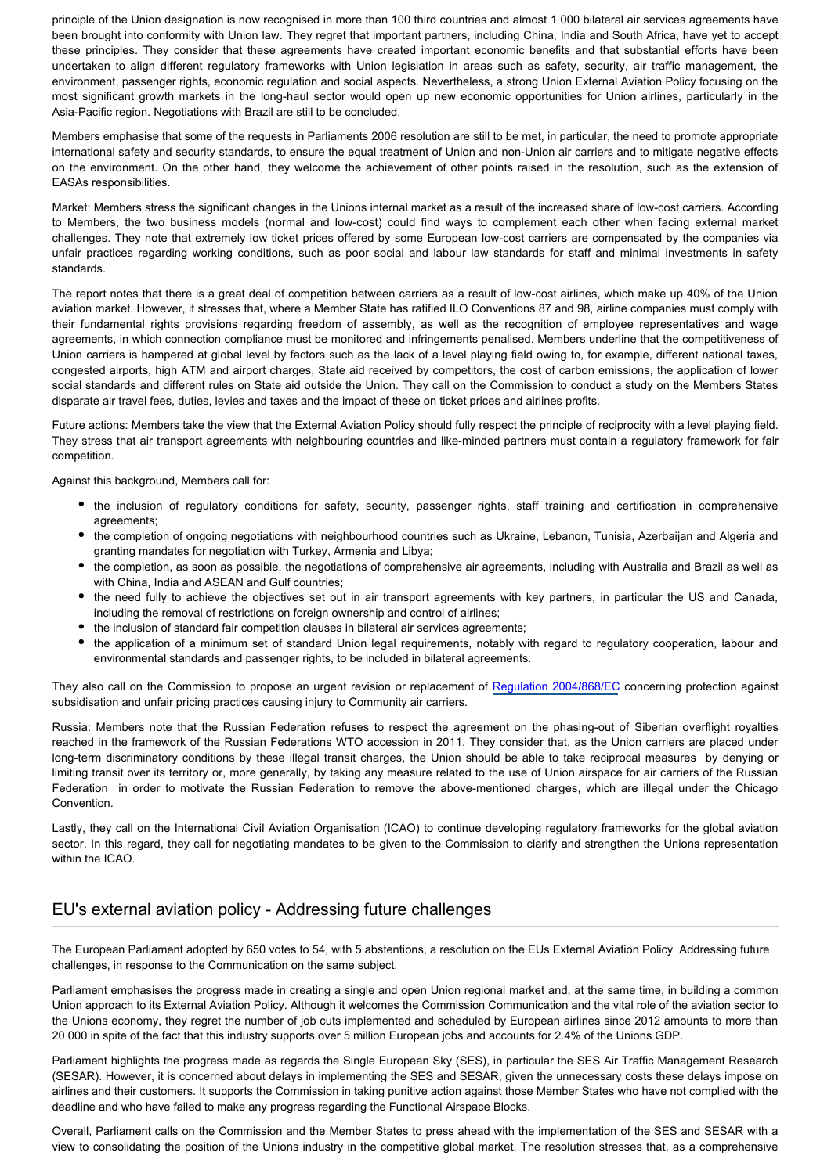principle of the Union designation is now recognised in more than 100 third countries and almost 1 000 bilateral air services agreements have been brought into conformity with Union law. They regret that important partners, including China, India and South Africa, have yet to accept these principles. They consider that these agreements have created important economic benefits and that substantial efforts have been undertaken to align different regulatory frameworks with Union legislation in areas such as safety, security, air traffic management, the environment, passenger rights, economic regulation and social aspects. Nevertheless, a strong Union External Aviation Policy focusing on the most significant growth markets in the long-haul sector would open up new economic opportunities for Union airlines, particularly in the Asia-Pacific region. Negotiations with Brazil are still to be concluded.

Members emphasise that some of the requests in Parliaments 2006 resolution are still to be met, in particular, the need to promote appropriate international safety and security standards, to ensure the equal treatment of Union and non-Union air carriers and to mitigate negative effects on the environment. On the other hand, they welcome the achievement of other points raised in the resolution, such as the extension of EASAs responsibilities.

Market: Members stress the significant changes in the Unions internal market as a result of the increased share of low-cost carriers. According to Members, the two business models (normal and low-cost) could find ways to complement each other when facing external market challenges. They note that extremely low ticket prices offered by some European low-cost carriers are compensated by the companies via unfair practices regarding working conditions, such as poor social and labour law standards for staff and minimal investments in safety standards.

The report notes that there is a great deal of competition between carriers as a result of low-cost airlines, which make up 40% of the Union aviation market. However, it stresses that, where a Member State has ratified ILO Conventions 87 and 98, airline companies must comply with their fundamental rights provisions regarding freedom of assembly, as well as the recognition of employee representatives and wage agreements, in which connection compliance must be monitored and infringements penalised. Members underline that the competitiveness of Union carriers is hampered at global level by factors such as the lack of a level playing field owing to, for example, different national taxes, congested airports, high ATM and airport charges, State aid received by competitors, the cost of carbon emissions, the application of lower social standards and different rules on State aid outside the Union. They call on the Commission to conduct a study on the Members States disparate air travel fees, duties, levies and taxes and the impact of these on ticket prices and airlines profits.

Future actions: Members take the view that the External Aviation Policy should fully respect the principle of reciprocity with a level playing field. They stress that air transport agreements with neighbouring countries and like-minded partners must contain a regulatory framework for fair competition.

Against this background, Members call for:

- the inclusion of regulatory conditions for safety, security, passenger rights, staff training and certification in comprehensive agreements;
- the completion of ongoing negotiations with neighbourhood countries such as Ukraine, Lebanon, Tunisia, Azerbaijan and Algeria and granting mandates for negotiation with Turkey, Armenia and Libya;
- the completion, as soon as possible, the negotiations of comprehensive air agreements, including with Australia and Brazil as well as with China, India and ASEAN and Gulf countries;
- the need fully to achieve the objectives set out in air transport agreements with key partners, in particular the US and Canada, including the removal of restrictions on foreign ownership and control of airlines;
- the inclusion of standard fair competition clauses in bilateral air services agreements;
- the application of a minimum set of standard Union legal requirements, notably with regard to regulatory cooperation, labour and environmental standards and passenger rights, to be included in bilateral agreements.

They also call on the Commission to propose an urgent revision or replacement of [Regulation 2004/868/EC](http://www.europarl.europa.eu/oeil/popups/ficheprocedure.do?lang=EN&procnum=COD/2002/0067) concerning protection against subsidisation and unfair pricing practices causing injury to Community air carriers.

Russia: Members note that the Russian Federation refuses to respect the agreement on the phasing-out of Siberian overflight royalties reached in the framework of the Russian Federations WTO accession in 2011. They consider that, as the Union carriers are placed under long-term discriminatory conditions by these illegal transit charges, the Union should be able to take reciprocal measures by denying or limiting transit over its territory or, more generally, by taking any measure related to the use of Union airspace for air carriers of the Russian Federation in order to motivate the Russian Federation to remove the above-mentioned charges, which are illegal under the Chicago Convention.

Lastly, they call on the International Civil Aviation Organisation (ICAO) to continue developing regulatory frameworks for the global aviation sector. In this regard, they call for negotiating mandates to be given to the Commission to clarify and strengthen the Unions representation within the ICAO.

## EU's external aviation policy - Addressing future challenges

The European Parliament adopted by 650 votes to 54, with 5 abstentions, a resolution on the EUs External Aviation Policy Addressing future challenges, in response to the Communication on the same subject.

Parliament emphasises the progress made in creating a single and open Union regional market and, at the same time, in building a common Union approach to its External Aviation Policy. Although it welcomes the Commission Communication and the vital role of the aviation sector to the Unions economy, they regret the number of job cuts implemented and scheduled by European airlines since 2012 amounts to more than 20 000 in spite of the fact that this industry supports over 5 million European jobs and accounts for 2.4% of the Unions GDP.

Parliament highlights the progress made as regards the Single European Sky (SES), in particular the SES Air Traffic Management Research (SESAR). However, it is concerned about delays in implementing the SES and SESAR, given the unnecessary costs these delays impose on airlines and their customers. It supports the Commission in taking punitive action against those Member States who have not complied with the deadline and who have failed to make any progress regarding the Functional Airspace Blocks.

Overall, Parliament calls on the Commission and the Member States to press ahead with the implementation of the SES and SESAR with a view to consolidating the position of the Unions industry in the competitive global market. The resolution stresses that, as a comprehensive